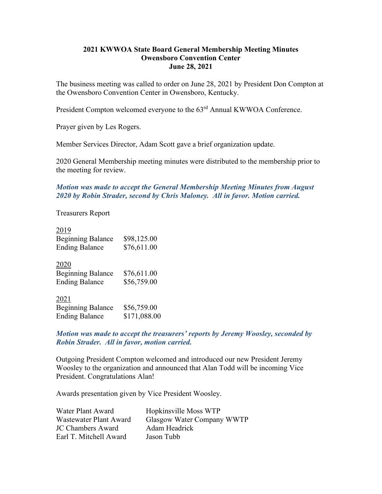## **2021 KWWOA State Board General Membership Meeting Minutes Owensboro Convention Center June 28, 2021**

The business meeting was called to order on June 28, 2021 by President Don Compton at the Owensboro Convention Center in Owensboro, Kentucky.

President Compton welcomed everyone to the 63<sup>rd</sup> Annual KWWOA Conference.

Prayer given by Les Rogers.

Member Services Director, Adam Scott gave a brief organization update.

2020 General Membership meeting minutes were distributed to the membership prior to the meeting for review.

*Motion was made to accept the General Membership Meeting Minutes from August 2020 by Robin Strader, second by Chris Maloney. All in favor. Motion carried.* 

Treasurers Report

| 2019<br><b>Beginning Balance</b><br><b>Ending Balance</b> | \$98,125.00<br>\$76,611.00  |
|-----------------------------------------------------------|-----------------------------|
| 2020<br><b>Beginning Balance</b><br><b>Ending Balance</b> | \$76,611.00<br>\$56,759.00  |
| 2021<br><b>Beginning Balance</b><br><b>Ending Balance</b> | \$56,759.00<br>\$171,088.00 |

## *Motion was made to accept the treasurers' reports by Jeremy Woosley, seconded by Robin Strader. All in favor, motion carried.*

Outgoing President Compton welcomed and introduced our new President Jeremy Woosley to the organization and announced that Alan Todd will be incoming Vice President. Congratulations Alan!

Awards presentation given by Vice President Woosley.

| Water Plant Award      | Hopkinsville Moss WTP      |
|------------------------|----------------------------|
| Wastewater Plant Award | Glasgow Water Company WWTP |
| JC Chambers Award      | Adam Headrick              |
| Earl T. Mitchell Award | Jason Tubb                 |